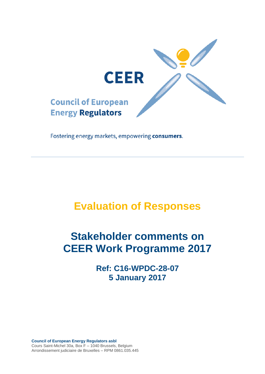

Fostering energy markets, empowering consumers.

# **Evaluation of Responses**

# **Stakeholder comments on CEER Work Programme 2017**

**Ref: C16-WPDC-28-07 5 January 2017**

**Council of European Energy Regulators asbl** Cours Saint-Michel 30a, Box F – 1040 Brussels, Belgium Arrondissement judiciaire de Bruxelles – RPM 0861.035.445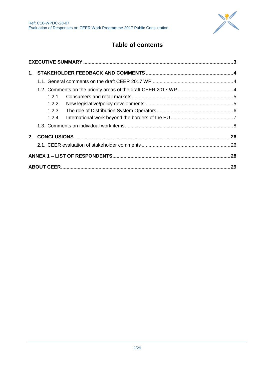

# **Table of contents**

| 1.2.1 |  |  |  |  |  |  |  |  |
|-------|--|--|--|--|--|--|--|--|
| 1.2.2 |  |  |  |  |  |  |  |  |
| 1.2.3 |  |  |  |  |  |  |  |  |
| 1.2.4 |  |  |  |  |  |  |  |  |
|       |  |  |  |  |  |  |  |  |
|       |  |  |  |  |  |  |  |  |
|       |  |  |  |  |  |  |  |  |
|       |  |  |  |  |  |  |  |  |
|       |  |  |  |  |  |  |  |  |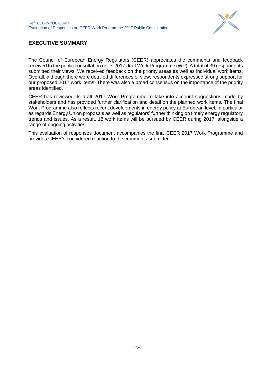

## <span id="page-2-0"></span>**EXECUTIVE SUMMARY**

The Council of European Energy Regulators (CEER) appreciates the comments and feedback received to the public consultation on its 2017 draft Work Programme (WP). A total of 39 respondents submitted their views. We received feedback on the priority areas as well as individual work items. Overall, although there were detailed differences of view, respondents expressed strong support for our proposed 2017 work items. There was also a broad consensus on the importance of the priority areas identified.

CEER has reviewed its draft 2017 Work Programme to take into account suggestions made by stakeholders and has provided further clarification and detail on the planned work items. The final Work Programme also reflects recent developments in energy policy at European level, in particular as regards Energy Union proposals as well as regulators' further thinking on timely energy regulatory trends and issues. As a result, 18 work items will be pursued by CEER during 2017, alongside a range of ongoing activities.

This evaluation of responses document accompanies the final CEER 2017 Work Programme and provides CEER's considered reaction to the comments submitted.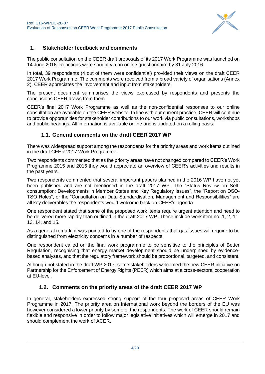

## <span id="page-3-0"></span>**1. Stakeholder feedback and comments**

The public consultation on the CEER draft proposals of its 2017 Work Programme was launched on 14 June 2016. Reactions were sought via an online questionnaire by 31 July 2016.

In total, 39 respondents (4 out of them were confidential) provided their views on the draft CEER 2017 Work Programme. The comments were received from a broad variety of organisations (Annex 2). CEER appreciates the involvement and input from stakeholders.

The present document summarises the views expressed by respondents and presents the conclusions CEER draws from them.

CEER's final 2017 Work Programme as well as the non-confidential responses to our online consultation are available on the [CEER website.](http://www.energy-regulators.eu/portal/page/portal/EER_HOME/EER_CONSULT/CLOSED%20PUBLIC%20CONSULTATIONS/CROSSSECTORAL/2014_Work_Programme) In line with our current practice, CEER will continue to provide opportunities for stakeholder contributions to our work via public consultations, workshops and public hearings. All information is available online and is updated on a rolling basis.

### **1.1. General comments on the draft CEER 2017 WP**

<span id="page-3-1"></span>There was widespread support among the respondents for the priority areas and work items outlined in the draft CEER 2017 Work Programme.

Two respondents commented that as the priority areas have not changed compared to CEER's Work Programme 2015 and 2016 they would appreciate an overview of CEER's activities and results in the past years.

Two respondents commented that several important papers planned in the 2016 WP have not yet been published and are not mentioned in the draft 2017 WP. The "Status Review on Selfconsumption: Developments in Member States and Key Regulatory Issues", the "Report on DSO-TSO Roles", or the "Consultation on Data Standardisation, Management and Responsibilities" are all key deliverables the respondents would welcome back on CEER's agenda.

One respondent stated that some of the proposed work items require urgent attention and need to be delivered more rapidly than outlined in the draft 2017 WP. These include work item no. 1, 2, 11, 13, 14, and 15.

As a general remark, it was pointed to by one of the respondents that gas issues will require to be distinguished from electricity concerns in a number of respects.

One respondent called on the final work programme to be sensitive to the principles of Better Regulation, recognising that energy market development should be underpinned by evidencebased analyses, and that the regulatory framework should be proportional, targeted, and consistent.

Although not stated in the draft WP 2017, some stakeholders welcomed the new CEER initiative on Partnership for the Enforcement of Energy Rights (PEER) which aims at a cross-sectoral cooperation at EU-level.

## **1.2. Comments on the priority areas of the draft CEER 2017 WP**

<span id="page-3-2"></span>In general, stakeholders expressed strong support of the four proposed areas of CEER Work Programme in 2017. The priority area on International work beyond the borders of the EU was however considered a lower priority by some of the respondents. The work of CEER should remain flexible and responsive in order to follow major legislative initiatives which will emerge in 2017 and should complement the work of ACER.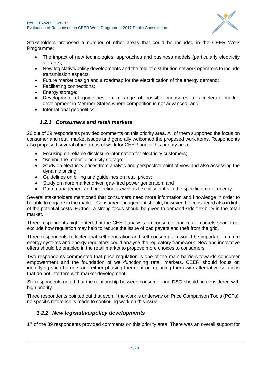

Stakeholders proposed a number of other areas that could be included in the CEER Work Programme:

- The impact of new technologies, approaches and business models (particularly electricity storage):
- New legislative/policy developments and the role of distribution network operators to include transmission aspects.
- Future market design and a roadmap for the electrification of the energy demand;
- Facilitating connections;
- Energy storage;
- Development of guidelines on a range of possible measures to accelerate market development in Member States where competition is not advanced; and
- International geopolitics.

## *1.2.1 Consumers and retail markets*

<span id="page-4-0"></span>26 out of 39 respondents provided comments on this priority area. All of them supported the focus on consumer and retail market issues and generally welcomed the proposed work items. Respondents also proposed several other areas of work for CEER under this priority area:

- Focusing on reliable disclosure information for electricity customers;
- "Behind-the-meter" electricity storage;
- Study on electricity prices from analytic and perspective point of view and also assessing the dynamic pricing;
- Guidelines on billing and guidelines on retail prices;
- Study on more market driven gas-fired power generation; and
- Data management and protection as well as flexibility tariffs in the specific area of energy.

Several stakeholders mentioned that consumers need more information and knowledge in order to be able to engage in the market. Consumer engagement should, however, be considered also in light of the potential costs. Further, a strong focus should be given to demand-side flexibility in the retail market.

Three respondents highlighted that the CEER analysis on consumer and retail markets should not exclude how regulation may help to reduce the issue of bad payers and theft from the grid.

Three respondents reflected that self-generation and self-consumption would be important in future energy systems and energy regulators could analyse the regulatory framework. New and innovative offers should be enabled in the retail market to propose more choices to consumers.

Two respondents commented that price regulation is one of the main barriers towards consumer empowerment and the foundation of well-functioning retail markets. CEER should focus on identifying such barriers and either phasing them out or replacing them with alternative solutions that do not interfere with market development.

Six respondents noted that the relationship between consumer and DSO should be considered with high priority.

Three respondents pointed out that even if the work is underway on Price Comparison Tools (PCTs), no specific reference is made to continuing work on this issue.

## <span id="page-4-1"></span>*1.2.2 New legislative/policy developments*

17 of the 39 respondents provided comments on this priority area. There was an overall support for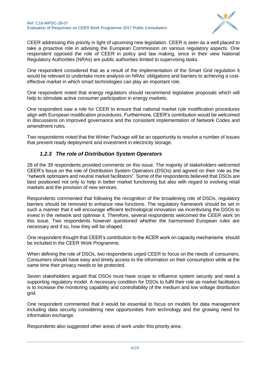

CEER addressing this priority in light of upcoming new legislation. CEER is seen as a well placed to take a proactive role in advising the European Commission on various regulatory aspects. One respondent opposed the role of CEER in policy and law making, since in their view National Regulatory Authorities (NRAs) are public authorities limited to supervising tasks.

One respondent considered that as a result of the implementation of the Smart Grid regulation it would be relevant to undertake more analysis on NRAs' obligations and barriers to achieving a costeffective market in which smart technologies can play an important role.

One respondent noted that energy regulators should recommend legislative proposals which will help to stimulate active consumer participation in energy markets.

One respondent saw a role for CEER to ensure that national market rule modification procedures align with European modification procedures. Furthermore, CEER's contribution would be welcomed in discussions on improved governance and the consistent implementation of Network Codes and amendment rules.

<span id="page-5-0"></span>Two respondents noted that the Winter Package will be an opportunity to resolve a number of issues that prevent ready deployment and investment in electricity storage.

## *1.2.3 The role of Distribution System Operators*

28 of the 39 respondents provided comments on this issue. The majority of stakeholders welcomed CEER's focus on the role of Distribution System Operators (DSOs) and agreed on their role as the "network optimizers and neutral market facilitators". Some of the respondents believed that DSOs are best positioned not only to help in better market functioning but also with regard to evolving retail markets and the provision of new services.

Respondents commented that following the recognition of the broadening role of DSOs, regulatory barriers should be removed to enhance new functions. The regulatory framework should be set in such a manner that it will encourage efficient technological innovation via incentivising the DSOs to invest in the network and optimise it. Therefore, several respondents welcomed the CEER work on this issue. Two respondents however questioned whether the harmonised European rules are necessary and if so, how they will be shaped.

One respondent thought that CEER's contribution to the ACER work on capacity mechanisms should be included in the CEER Work Programme.

When defining the role of DSOs, two respondents urged CEER to focus on the needs of consumers. Consumers should have easy and timely access to the information on their consumption while at the same time their privacy needs to be protected.

Seven stakeholders argued that DSOs must have scope to influence system security and need a supporting regulatory model. A necessary condition for DSOs to fulfil their role as market facilitators is to increase the monitoring capability and controllability of the medium and low voltage distribution grid.

One respondent commented that it would be essential to focus on models for data management including data security considering new opportunities from technology and the growing need for information exchange.

Respondents also suggested other areas of work under this priority area: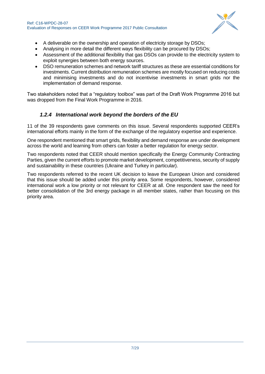

- A deliverable on the ownership and operation of electricity storage by DSOs;
- Analysing in more detail the different ways flexibility can be procured by DSOs;
- Assessment of the additional flexibility that gas DSOs can provide to the electricity system to exploit synergies between both energy sources.
- DSO remuneration schemes and network tariff structures as these are essential conditions for investments. Current distribution remuneration schemes are mostly focused on reducing costs and minimising investments and do not incentivise investments in smart grids nor the implementation of demand response.

Two stakeholders noted that a "regulatory toolbox" was part of the Draft Work Programme 2016 but was dropped from the Final Work Programme in 2016.

## *1.2.4 International work beyond the borders of the EU*

<span id="page-6-0"></span>11 of the 39 respondents gave comments on this issue. Several respondents supported CEER's international efforts mainly in the form of the exchange of the regulatory expertise and experience.

One respondent mentioned that smart grids, flexibility and demand response are under development across the world and learning from others can foster a better regulation for energy sector.

Two respondents noted that CEER should mention specifically the Energy Community Contracting Parties, given the current efforts to promote market development, competitiveness, security of supply and sustainability in these countries (Ukraine and Turkey in particular).

Two respondents referred to the recent UK decision to leave the European Union and considered that this issue should be added under this priority area. Some respondents, however, considered international work a low priority or not relevant for CEER at all. One respondent saw the need for better consolidation of the 3rd energy package in all member states, rather than focusing on this priority area.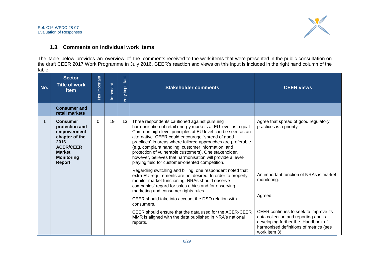

## **1.3. Comments on individual work items**

The table below provides an overview of the comments received to the work items that were presented in the public consultation on the draft CEER 2017 Work Programme in July 2016. CEER's reaction and views on this input is included in the right hand column of the table.

<span id="page-7-0"></span>

| No. | <b>Sector</b><br><b>Title of work</b><br><b>item</b>                                                                                           | Not important | Important | Very important | <b>Stakeholder comments</b>                                                                                                                                                                                                                                                                                                                                                                                                                                                                                                        | <b>CEER views</b>                                                                                                                                                             |
|-----|------------------------------------------------------------------------------------------------------------------------------------------------|---------------|-----------|----------------|------------------------------------------------------------------------------------------------------------------------------------------------------------------------------------------------------------------------------------------------------------------------------------------------------------------------------------------------------------------------------------------------------------------------------------------------------------------------------------------------------------------------------------|-------------------------------------------------------------------------------------------------------------------------------------------------------------------------------|
|     | <b>Consumer and</b><br>retail markets                                                                                                          |               |           |                |                                                                                                                                                                                                                                                                                                                                                                                                                                                                                                                                    |                                                                                                                                                                               |
| 1   | <b>Consumer</b><br>protection and<br>empowerment<br>chapter of the<br>2016<br><b>ACER/CEER</b><br><b>Market</b><br><b>Monitoring</b><br>Report | $\Omega$      | 19        | 13             | Three respondents cautioned against pursuing<br>harmonisation of retail energy markets at EU level as a goal.<br>Common high-level principles at EU level can be seen as an<br>alternative. CEER could encourage "spread of good<br>practices" in areas where tailored approaches are preferable<br>(e.g. complaint handling, customer information, and<br>protection of vulnerable customers). One stakeholder,<br>however, believes that harmonisation will provide a level-<br>playing field for customer-oriented competition. | Agree that spread of good regulatory<br>practices is a priority.                                                                                                              |
|     |                                                                                                                                                |               |           |                | Regarding switching and billing, one respondent noted that<br>extra EU requirements are not desired. In order to properly<br>monitor market functioning, NRAs should observe<br>companies' regard for sales ethics and for observing<br>marketing and consumer rights rules.                                                                                                                                                                                                                                                       | An important function of NRAs is market<br>monitoring.<br>Agreed                                                                                                              |
|     |                                                                                                                                                |               |           |                | CEER should take into account the DSO relation with<br>consumers.                                                                                                                                                                                                                                                                                                                                                                                                                                                                  |                                                                                                                                                                               |
|     |                                                                                                                                                |               |           |                | CEER should ensure that the data used for the ACER-CEER<br>MMR is aligned with the data published in NRA's national<br>reports.                                                                                                                                                                                                                                                                                                                                                                                                    | CEER continues to seek to improve its<br>data collection and reporting and is<br>developing further the Handbook of<br>harmonised definitions of metrics (see<br>work item 3) |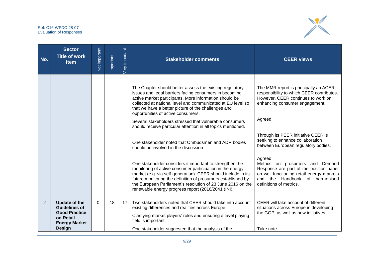

| No. | <b>Sector</b><br><b>Title of work</b><br>item                                                                              | Not important | Important | <b>Very</b> important | <b>Stakeholder comments</b>                                                                                                                                                                                                                                                                                                                                                                                                                                                                                                                                                                                                                                                                                                                                                                                                                                                                                                                        | <b>CEER views</b>                                                                                                                                                                                                                                                                                                                                                                                                                                                                          |
|-----|----------------------------------------------------------------------------------------------------------------------------|---------------|-----------|-----------------------|----------------------------------------------------------------------------------------------------------------------------------------------------------------------------------------------------------------------------------------------------------------------------------------------------------------------------------------------------------------------------------------------------------------------------------------------------------------------------------------------------------------------------------------------------------------------------------------------------------------------------------------------------------------------------------------------------------------------------------------------------------------------------------------------------------------------------------------------------------------------------------------------------------------------------------------------------|--------------------------------------------------------------------------------------------------------------------------------------------------------------------------------------------------------------------------------------------------------------------------------------------------------------------------------------------------------------------------------------------------------------------------------------------------------------------------------------------|
|     |                                                                                                                            |               |           |                       | The Chapter should better assess the existing regulatory<br>issues and legal barriers facing consumers in becoming<br>active market participants. More information should be<br>collected at national level and communicated at EU level so<br>that we have a better picture of the challenges and<br>opportunities of active consumers.<br>Several stakeholders stressed that vulnerable consumers<br>should receive particular attention in all topics mentioned.<br>One stakeholder noted that Ombudsmen and ADR bodies<br>should be involved in the discussion.<br>One stakeholder considers it important to strengthen the<br>monitoring of active consumer participation in the energy<br>market (e.g. via self-generation). CEER should include in its<br>future monitoring the definition of prosumers established by<br>the European Parliament's resolution of 23 June 2016 on the<br>renewable energy progress report (2016/2041 (INI). | The MMR report is principally an ACER<br>responsibility to which CEER contributes.<br>However, CEER continues to work on<br>enhancing consumer engagement.<br>Agreed.<br>Through its PEER initiative CEER is<br>seeking to enhance collaboration<br>between European regulatory bodies.<br>Agreed.<br>Metrics on prosumers and Demand<br>Response are part of the position paper<br>on well-functioning retail energy markets<br>and the Handbook of harmonised<br>definitions of metrics. |
| 2   | <b>Update of the</b><br><b>Guidelines of</b><br><b>Good Practice</b><br>on Retail<br><b>Energy Market</b><br><b>Design</b> | $\Omega$      | 18        | 17                    | Two stakeholders noted that CEER should take into account<br>existing differences and realities across Europe.<br>Clarifying market players' roles and ensuring a level playing<br>field is important.<br>One stakeholder suggested that the analysis of the                                                                                                                                                                                                                                                                                                                                                                                                                                                                                                                                                                                                                                                                                       | CEER will take account of different<br>situations across Europe in developing<br>the GGP, as well as new initiatives.<br>Take note.                                                                                                                                                                                                                                                                                                                                                        |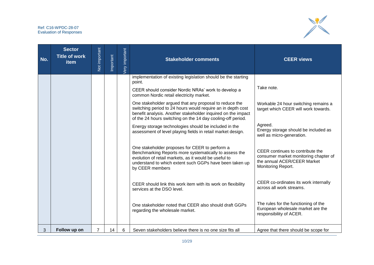

| No. | <b>Sector</b><br><b>Title of work</b><br>item | Not important  | Important | <b>Jery</b> important | <b>Stakeholder comments</b>                                                                                                                                                                                                                                                                                                                                                                                                                                                                                                                                | <b>CEER views</b>                                                                                                                                                                                    |
|-----|-----------------------------------------------|----------------|-----------|-----------------------|------------------------------------------------------------------------------------------------------------------------------------------------------------------------------------------------------------------------------------------------------------------------------------------------------------------------------------------------------------------------------------------------------------------------------------------------------------------------------------------------------------------------------------------------------------|------------------------------------------------------------------------------------------------------------------------------------------------------------------------------------------------------|
|     |                                               |                |           |                       | implementation of existing legislation should be the starting<br>point.<br>CEER should consider Nordic NRAs' work to develop a<br>common Nordic retail electricity market.<br>One stakeholder argued that any proposal to reduce the<br>switching period to 24 hours would require an in depth cost<br>benefit analysis. Another stakeholder inquired on the impact<br>of the 24 hours switching on the 14 day cooling-off period.<br>Energy storage technologies should be included in the<br>assessment of level playing fields in retail market design. | Take note.<br>Workable 24 hour switching remains a<br>target which CEER will work towards.<br>Agreed.<br>Energy storage should be included as                                                        |
|     |                                               |                |           |                       | One stakeholder proposes for CEER to perform a<br>Benchmarking Reports more systematically to assess the<br>evolution of retail markets, as it would be useful to<br>understand to which extent such GGPs have been taken up<br>by CEER members<br>CEER should link this work item with its work on flexibility                                                                                                                                                                                                                                            | well as micro-generation.<br>CEER continues to contribute the<br>consumer market monitoring chapter of<br>the annual ACER/CEER Market<br>Monitoring Report.<br>CEER co-ordinates its work internally |
| 3   | Follow up on                                  | $\overline{7}$ | 14        | 6                     | services at the DSO level.<br>One stakeholder noted that CEER also should draft GGPs<br>regarding the wholesale market.<br>Seven stakeholders believe there is no one size fits all                                                                                                                                                                                                                                                                                                                                                                        | across all work streams.<br>The rules for the functioning of the<br>European wholesale market are the<br>responsibility of ACER.<br>Agree that there should be scope for                             |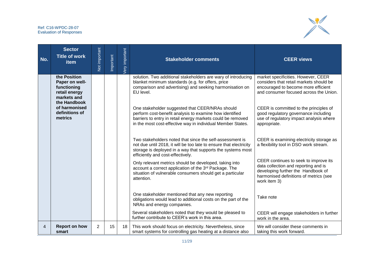

| No. | <b>Sector</b><br><b>Title of work</b><br>item                                                 | Not important  | Important | <b>Jery</b> important | <b>Stakeholder comments</b>                                                                                                                                                                                                              | <b>CEER views</b>                                                                                                                                                             |
|-----|-----------------------------------------------------------------------------------------------|----------------|-----------|-----------------------|------------------------------------------------------------------------------------------------------------------------------------------------------------------------------------------------------------------------------------------|-------------------------------------------------------------------------------------------------------------------------------------------------------------------------------|
|     | the Position<br>Paper on well-<br>functioning<br>retail energy<br>markets and<br>the Handbook |                |           |                       | solution. Two additional stakeholders are wary of introducing<br>blanket minimum standards (e.g. for offers, price<br>comparison and advertising) and seeking harmonisation on<br>EU level.                                              | market specificities. However, CEER<br>considers that retail markets should be<br>encouraged to become more efficient<br>and consumer focused across the Union.               |
|     | of harmonised<br>definitions of<br>metrics                                                    |                |           |                       | One stakeholder suggested that CEER/NRAs should<br>perform cost-benefit analysis to examine how identified<br>barriers to entry in retail energy markets could be removed<br>in the most cost-effective way in individual Member States. | CEER is committed to the principles of<br>good regulatory governance including<br>use of regulatory impact analysis where<br>appropriate.                                     |
|     |                                                                                               |                |           |                       | Two stakeholders noted that since the self-assessment is<br>not due until 2018, it will be too late to ensure that electricity<br>storage is deployed in a way that supports the systems most<br>efficiently and cost-effectively.       | CEER is examining electricity storage as<br>a flexibility tool in DSO work stream.                                                                                            |
|     |                                                                                               |                |           |                       | Only relevant metrics should be developed, taking into<br>account a correct application of the 3rd Package. The<br>situation of vulnerable consumers should get a particular<br>attention.                                               | CEER continues to seek to improve its<br>data collection and reporting and is<br>developing further the Handbook of<br>harmonised definitions of metrics (see<br>work item 3) |
|     |                                                                                               |                |           |                       | One stakeholder mentioned that any new reporting<br>obligations would lead to additional costs on the part of the<br>NRAs and energy companies.                                                                                          | Take note                                                                                                                                                                     |
|     |                                                                                               |                |           |                       | Several stakeholders noted that they would be pleased to<br>further contribute to CEER's work in this area.                                                                                                                              | CEER will engage stakeholders in further<br>work in the area.                                                                                                                 |
| 4   | <b>Report on how</b><br>smart                                                                 | $\overline{2}$ | 15        | 18 <sup>1</sup>       | This work should focus on electricity. Nevertheless, since<br>smart systems for controlling gas heating at a distance also                                                                                                               | We will consider these comments in<br>taking this work forward.                                                                                                               |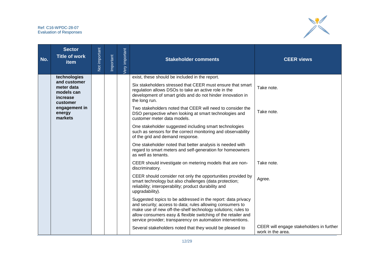

| No. | <b>Sector</b><br><b>Title of work</b><br>item    | Not important | Important | <b>Very</b> important | <b>Stakeholder comments</b>                                                                                                                                                                                                                                                                                               | <b>CEER views</b>                                             |
|-----|--------------------------------------------------|---------------|-----------|-----------------------|---------------------------------------------------------------------------------------------------------------------------------------------------------------------------------------------------------------------------------------------------------------------------------------------------------------------------|---------------------------------------------------------------|
|     | technologies<br>and customer                     |               |           |                       | exist, these should be included in the report.                                                                                                                                                                                                                                                                            |                                                               |
|     | meter data<br>models can<br>increase<br>customer |               |           |                       | Six stakeholders stressed that CEER must ensure that smart<br>regulation allows DSOs to take an active role in the<br>development of smart grids and do not hinder innovation in<br>the long run.                                                                                                                         | Take note.                                                    |
|     | engagement in<br>energy<br>markets               |               |           |                       | Two stakeholders noted that CEER will need to consider the<br>DSO perspective when looking at smart technologies and<br>customer meter data models.                                                                                                                                                                       | Take note.                                                    |
|     |                                                  |               |           |                       | One stakeholder suggested including smart technologies<br>such as sensors for the correct monitoring and observability<br>of the grid and demand response.                                                                                                                                                                |                                                               |
|     |                                                  |               |           |                       | One stakeholder noted that better analysis is needed with<br>regard to smart meters and self-generation for homeowners<br>as well as tenants.                                                                                                                                                                             |                                                               |
|     |                                                  |               |           |                       | CEER should investigate on metering models that are non-<br>discriminatory.                                                                                                                                                                                                                                               | Take note.                                                    |
|     |                                                  |               |           |                       | CEER should consider not only the opportunities provided by<br>smart technology but also challenges (data protection;<br>reliability; interoperability; product durability and<br>upgradability).                                                                                                                         | Agree.                                                        |
|     |                                                  |               |           |                       | Suggested topics to be addressed in the report: data privacy<br>and security; access to data; rules allowing consumers to<br>make use of new off-the-shelf technology solutions; rules to<br>allow consumers easy & flexible switching of the retailer and<br>service provider; transparency on automation interventions. |                                                               |
|     |                                                  |               |           |                       | Several stakeholders noted that they would be pleased to                                                                                                                                                                                                                                                                  | CEER will engage stakeholders in further<br>work in the area. |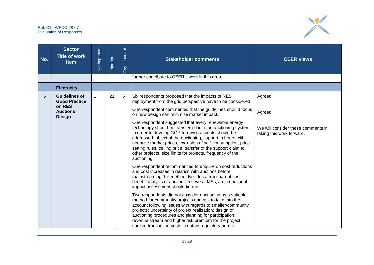

| No. | <b>Sector</b><br><b>Title of work</b><br>item                                              | Not important | Important | <b>Jery</b> important | <b>Stakeholder comments</b>                                                                                                                                                                                                                                                                                                                                                                                                                                                                                                                                                                                                                                                                                                                                                                                                                                                                                                                                                                                                                                                                                                                                                                                                                                                                                                                                                                           | <b>CEER views</b>                                                                   |
|-----|--------------------------------------------------------------------------------------------|---------------|-----------|-----------------------|-------------------------------------------------------------------------------------------------------------------------------------------------------------------------------------------------------------------------------------------------------------------------------------------------------------------------------------------------------------------------------------------------------------------------------------------------------------------------------------------------------------------------------------------------------------------------------------------------------------------------------------------------------------------------------------------------------------------------------------------------------------------------------------------------------------------------------------------------------------------------------------------------------------------------------------------------------------------------------------------------------------------------------------------------------------------------------------------------------------------------------------------------------------------------------------------------------------------------------------------------------------------------------------------------------------------------------------------------------------------------------------------------------|-------------------------------------------------------------------------------------|
|     |                                                                                            |               |           |                       | further contribute to CEER's work in this area.                                                                                                                                                                                                                                                                                                                                                                                                                                                                                                                                                                                                                                                                                                                                                                                                                                                                                                                                                                                                                                                                                                                                                                                                                                                                                                                                                       |                                                                                     |
|     | <b>Electricity</b>                                                                         |               |           |                       |                                                                                                                                                                                                                                                                                                                                                                                                                                                                                                                                                                                                                                                                                                                                                                                                                                                                                                                                                                                                                                                                                                                                                                                                                                                                                                                                                                                                       |                                                                                     |
| 5   | <b>Guidelines of</b><br><b>Good Practice</b><br>on RES<br><b>Auctions</b><br><b>Design</b> | 1             | 21        | 6                     | Six respondents proposed that the impacts of RES<br>deployment from the grid perspective have to be considered.<br>One respondent commented that the guidelines should focus<br>on how design can minimise market impact.<br>One respondent suggested that every renewable energy<br>technology should be transferred into the auctioning system.<br>In order to develop GGP following aspects should be<br>addressed: object of the auctioning, support in hours with<br>negative market prices, exclusion of self-consumption, price-<br>setting rules, ceiling price, transfer of the support claim to<br>other projects, size limits for projects, frequency of the<br>auctioning.<br>One respondent recommended to enquire on cost reductions<br>and cost increases in relation with auctions before<br>mainstreaming this method. Besides a transparent cost-<br>benefit analysis of auctions in several MSs, a distributional<br>impact assessment should be run.<br>Two respondents did not consider auctioning as a suitable<br>method for community projects and ask to take into the<br>account following issues with regards to smaller/community<br>projects: uncertainty of project realisation; design of<br>auctioning procedures and planning for participation;<br>revenue stream and higher risk premium for the project;<br>sunken transaction costs to obtain regulatory permit. | Agreed<br>Agreed<br>We will consider these comments in<br>taking this work forward. |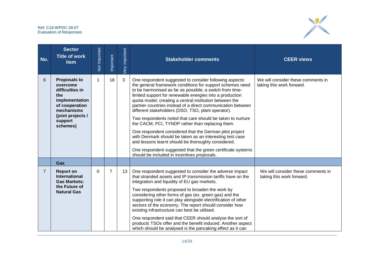

| No.            | <b>Sector</b><br><b>Title of work</b><br>item                                                                                                           | Not important | Important      | Very important | <b>Stakeholder comments</b>                                                                                                                                                                                                                                                                                                                                                                                                                                                                                                                                                                                                                                                                                                                                                                                                                | <b>CEER views</b>                                               |
|----------------|---------------------------------------------------------------------------------------------------------------------------------------------------------|---------------|----------------|----------------|--------------------------------------------------------------------------------------------------------------------------------------------------------------------------------------------------------------------------------------------------------------------------------------------------------------------------------------------------------------------------------------------------------------------------------------------------------------------------------------------------------------------------------------------------------------------------------------------------------------------------------------------------------------------------------------------------------------------------------------------------------------------------------------------------------------------------------------------|-----------------------------------------------------------------|
| 6              | <b>Proposals to</b><br>overcome<br>difficulties in<br>the<br>implementation<br>of cooperation<br>mechanisms<br>(joint projects /<br>support<br>schemes) |               | 18             | 3              | One respondent suggested to consider following aspects:<br>the general framework conditions for support schemes need<br>to be harmonised as far as possible; a switch from time-<br>limited support for renewable energies into a production<br>quota model; creating a central institution between the<br>partner countries instead of a direct communication between<br>different stakeholders (DSO, TSO, plant operator).<br>Two respondents noted that care should be taken to nurture<br>the CACM, PCI, TYNDP rather than replacing them.<br>One respondent considered that the German pilot project<br>with Denmark should be taken as an interesting test case<br>and lessons learnt should be thoroughly considered.<br>One respondent suggested that the green certificate systems<br>should be included in incentives proposals. | We will consider these comments in<br>taking this work forward. |
|                | Gas                                                                                                                                                     |               |                |                |                                                                                                                                                                                                                                                                                                                                                                                                                                                                                                                                                                                                                                                                                                                                                                                                                                            |                                                                 |
| $\overline{7}$ | <b>Report on</b><br><b>International</b><br><b>Gas Markets:</b><br>the Future of<br><b>Natural Gas</b>                                                  | 0             | $\overline{7}$ | 13             | One respondent suggested to consider the adverse impact<br>that stranded assets and IP transmission tariffs have on the<br>integration and liquidity of EU gas markets.<br>Two respondents proposed to broaden the work by<br>considering other forms of gas (ex. green gas) and the<br>supporting role it can play alongside electrification of other<br>sectors of the economy. The report should consider how<br>existing infrastructure can best be utilised.<br>One respondent said that CEER should analyse the sort of<br>products TSOs offer and the benefit induced. Another aspect<br>which should be analysed is the pancaking effect as it can                                                                                                                                                                                 | We will consider these comments in<br>taking this work forward. |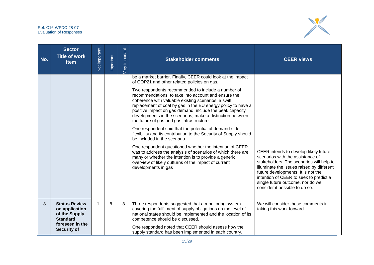

| No. | <b>Sector</b><br><b>Title of work</b><br>item                                                                       | Not important | <b>Important</b> | Very important | <b>Stakeholder comments</b>                                                                                                                                                                                                                                                                                                                                                                                                                                                                                                                                                                                                                                                                                                                                                                                                                                                                                                                           | <b>CEER views</b>                                                                                                                                                                                                                                                                                                        |
|-----|---------------------------------------------------------------------------------------------------------------------|---------------|------------------|----------------|-------------------------------------------------------------------------------------------------------------------------------------------------------------------------------------------------------------------------------------------------------------------------------------------------------------------------------------------------------------------------------------------------------------------------------------------------------------------------------------------------------------------------------------------------------------------------------------------------------------------------------------------------------------------------------------------------------------------------------------------------------------------------------------------------------------------------------------------------------------------------------------------------------------------------------------------------------|--------------------------------------------------------------------------------------------------------------------------------------------------------------------------------------------------------------------------------------------------------------------------------------------------------------------------|
|     |                                                                                                                     |               |                  |                | be a market barrier. Finally, CEER could look at the impact<br>of COP21 and other related policies on gas.<br>Two respondents recommended to include a number of<br>recommendations: to take into account and ensure the<br>coherence with valuable existing scenarios; a swift<br>replacement of coal by gas in the EU energy policy to have a<br>positive impact on gas demand; include the peak capacity<br>developments in the scenarios; make a distinction between<br>the future of gas and gas infrastructure.<br>One respondent said that the potential of demand-side<br>flexibility and its contribution to the Security of Supply should<br>be included in the scenario.<br>One respondent questioned whether the intention of CEER<br>was to address the analysis of scenarios of which there are<br>many or whether the intention is to provide a generic<br>overview of likely outturns of the impact of current<br>developments in gas | CEER intends to develop likely future<br>scenarios with the assistance of<br>stakeholders. The scenarios will help to<br>illuminate the issues raised by different<br>future developments. It is not the<br>intention of CEER to seek to predict a<br>single future outcome, nor do we<br>consider it possible to do so. |
| 8   | <b>Status Review</b><br>on application<br>of the Supply<br><b>Standard</b><br>foreseen in the<br><b>Security of</b> | 1             | 8                | 8              | Three respondents suggested that a monitoring system<br>covering the fulfilment of supply obligations on the level of<br>national states should be implemented and the location of its<br>competence should be discussed.<br>One responded noted that CEER should assess how the<br>supply standard has been implemented in each country,                                                                                                                                                                                                                                                                                                                                                                                                                                                                                                                                                                                                             | We will consider these comments in<br>taking this work forward.                                                                                                                                                                                                                                                          |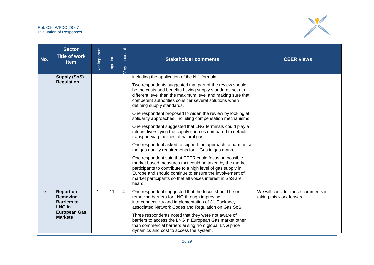

| No. | <b>Sector</b><br><b>Title of work</b><br><b>item</b>                                                         | Not important | Important | <b>Jery</b> important | <b>Stakeholder comments</b>                                                                                                                                                                                                                                                                                                                                                                                                               | <b>CEER views</b>                                               |
|-----|--------------------------------------------------------------------------------------------------------------|---------------|-----------|-----------------------|-------------------------------------------------------------------------------------------------------------------------------------------------------------------------------------------------------------------------------------------------------------------------------------------------------------------------------------------------------------------------------------------------------------------------------------------|-----------------------------------------------------------------|
|     | <b>Supply (SoS)</b><br><b>Regulation</b>                                                                     |               |           |                       | including the application of the N-1 formula.<br>Two respondents suggested that part of the review should                                                                                                                                                                                                                                                                                                                                 |                                                                 |
|     |                                                                                                              |               |           |                       | be the costs and benefits having supply standards set at a<br>different level than the maximum level and making sure that<br>competent authorities consider several solutions when<br>defining supply standards.                                                                                                                                                                                                                          |                                                                 |
|     |                                                                                                              |               |           |                       | One respondent proposed to widen the review by looking at<br>solidarity approaches, including compensation mechanisms.                                                                                                                                                                                                                                                                                                                    |                                                                 |
|     |                                                                                                              |               |           |                       | One respondent suggested that LNG terminals could play a<br>role in diversifying the supply sources compared to default<br>transport via pipelines of natural gas.                                                                                                                                                                                                                                                                        |                                                                 |
|     |                                                                                                              |               |           |                       | One respondent asked to support the approach to harmonise<br>the gas quality requirements for L-Gas in gas market.                                                                                                                                                                                                                                                                                                                        |                                                                 |
|     |                                                                                                              |               |           |                       | One respondent said that CEER could focus on possible<br>market based measures that could be taken by the market<br>participants to contribute to a high level of gas supply in<br>Europe and should continue to ensure the involvement of<br>market participants so that all voices interest in SoS are<br>heard.                                                                                                                        |                                                                 |
| 9   | <b>Report on</b><br>Removing<br><b>Barriers to</b><br><b>LNG in</b><br><b>European Gas</b><br><b>Markets</b> |               | 11        | $\overline{4}$        | One respondent suggested that the focus should be on<br>removing barriers for LNG through improving<br>interconnectivity and implementation of 3rd Package,<br>associated Network Codes and Regulation on Gas SoS.<br>Three respondents noted that they were not aware of<br>barriers to access the LNG in European Gas market other<br>than commercial barriers arising from global LNG price<br>dynamics and cost to access the system. | We will consider these comments in<br>taking this work forward. |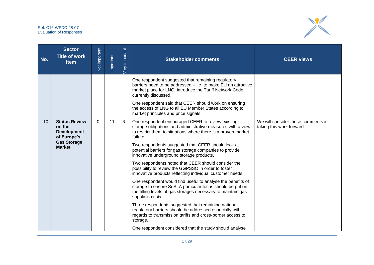

| No.             | <b>Sector</b><br><b>Title of work</b><br><b>item</b>                                                       | Not important | Important | ery important | <b>Stakeholder comments</b>                                                                                                                                                                                                                                                                                                                                                                                                                                                                                                                                                                                                                                                                                                                                                                                                                                                                                                                                                                                    | <b>CEER views</b>                                               |
|-----------------|------------------------------------------------------------------------------------------------------------|---------------|-----------|---------------|----------------------------------------------------------------------------------------------------------------------------------------------------------------------------------------------------------------------------------------------------------------------------------------------------------------------------------------------------------------------------------------------------------------------------------------------------------------------------------------------------------------------------------------------------------------------------------------------------------------------------------------------------------------------------------------------------------------------------------------------------------------------------------------------------------------------------------------------------------------------------------------------------------------------------------------------------------------------------------------------------------------|-----------------------------------------------------------------|
|                 |                                                                                                            |               |           |               | One respondent suggested that remaining regulatory<br>barriers need to be addressed - i.e. to make EU an attractive<br>market place for LNG, introduce the Tariff Network Code<br>currently discussed.<br>One respondent said that CEER should work on ensuring<br>the access of LNG to all EU Member States according to<br>market principles and price signals.                                                                                                                                                                                                                                                                                                                                                                                                                                                                                                                                                                                                                                              |                                                                 |
| 10 <sup>°</sup> | <b>Status Review</b><br>on the<br><b>Development</b><br>of Europe's<br><b>Gas Storage</b><br><b>Market</b> | $\Omega$      | 11        | 6             | One respondent encouraged CEER to review existing<br>storage obligations and administrative measures with a view<br>to restrict them to situations where there is a proven market<br>failure.<br>Two respondents suggested that CEER should look at<br>potential barriers for gas storage companies to provide<br>innovative underground storage products.<br>Two respondents noted that CEER should consider the<br>possibility to review the GGPSSO in order to foster<br>innovative products reflecting individual customer needs.<br>One respondent would find useful to analyse the benefits of<br>storage to ensure SoS. A particular focus should be put on<br>the filling levels of gas storages necessary to maintain gas<br>supply in crisis.<br>Three respondents suggested that remaining national<br>regulatory barriers should be addressed especially with<br>regards to transmission tariffs and cross-border access to<br>storage.<br>One respondent considered that the study should analyse | We will consider these comments in<br>taking this work forward. |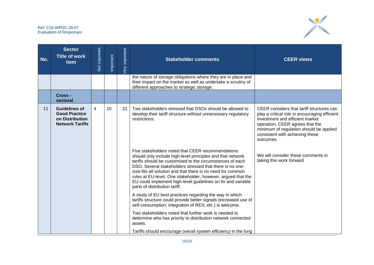

| No. | <b>Sector</b><br><b>Title of work</b><br>item                                             | Not important | Important | <b>Jery</b> important | <b>Stakeholder comments</b>                                                                                                                                                                                                                                                                                                                                                                                                                                              | <b>CEER views</b>                                                                                                                                                                                                                                           |
|-----|-------------------------------------------------------------------------------------------|---------------|-----------|-----------------------|--------------------------------------------------------------------------------------------------------------------------------------------------------------------------------------------------------------------------------------------------------------------------------------------------------------------------------------------------------------------------------------------------------------------------------------------------------------------------|-------------------------------------------------------------------------------------------------------------------------------------------------------------------------------------------------------------------------------------------------------------|
|     |                                                                                           |               |           |                       | the nature of storage obligations where they are in place and<br>their impact on the market as well as undertake a scrutiny of<br>different approaches to strategic storage.                                                                                                                                                                                                                                                                                             |                                                                                                                                                                                                                                                             |
|     | Cross-<br>sectoral                                                                        |               |           |                       |                                                                                                                                                                                                                                                                                                                                                                                                                                                                          |                                                                                                                                                                                                                                                             |
| 11  | <b>Guidelines of</b><br><b>Good Practice</b><br>on Distribution<br><b>Network Tariffs</b> | 4             | 10        | 21                    | Two stakeholders stressed that DSOs should be allowed to<br>develop their tariff structure without unnecessary regulatory<br>restrictions.                                                                                                                                                                                                                                                                                                                               | CEER considers that tariff structures can<br>play a critical role in encouraging efficient<br>investment and efficient market<br>operation. CEER agrees that the<br>minimum of regulation should be applied<br>consistent with achieving these<br>outcomes. |
|     |                                                                                           |               |           |                       | Five stakeholders noted that CEER recommendations<br>should only include high-level principles and that network<br>tariffs should be customised to the circumstances of each<br>DSO. Several stakeholders stressed that there is no one-<br>size-fits-all solution and that there is no need for common<br>rules at EU-level. One stakeholder, however, argued that the<br>EU could implement high-level guidelines on fix and variable<br>parts of distribution tariff. | We will consider these comments in<br>taking this work forward                                                                                                                                                                                              |
|     |                                                                                           |               |           |                       | A study of EU best practices regarding the way in which<br>tariffs structure could provide better signals (increased use of<br>self-consumption; integration of RES; etc.) is welcome.                                                                                                                                                                                                                                                                                   |                                                                                                                                                                                                                                                             |
|     |                                                                                           |               |           |                       | Two stakeholders noted that further work is needed to<br>determine who has priority to distribution network connected<br>assets.                                                                                                                                                                                                                                                                                                                                         |                                                                                                                                                                                                                                                             |
|     |                                                                                           |               |           |                       | Tariffs should encourage overall system efficiency in the long                                                                                                                                                                                                                                                                                                                                                                                                           |                                                                                                                                                                                                                                                             |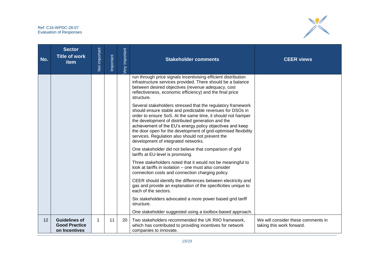

| No. | <b>Sector</b><br><b>Title of work</b><br>item                 | Not important | Important | very important | <b>Stakeholder comments</b>                                                                                                                                                                                                                                                                                                                                                                                                                                             | <b>CEER views</b>                                               |
|-----|---------------------------------------------------------------|---------------|-----------|----------------|-------------------------------------------------------------------------------------------------------------------------------------------------------------------------------------------------------------------------------------------------------------------------------------------------------------------------------------------------------------------------------------------------------------------------------------------------------------------------|-----------------------------------------------------------------|
|     |                                                               |               |           |                | run through price signals incentivising efficient distribution<br>infrastructure services provided. There should be a balance<br>between desired objectives (revenue adequacy, cost<br>reflectiveness, economic efficiency) and the final price<br>structure.                                                                                                                                                                                                           |                                                                 |
|     |                                                               |               |           |                | Several stakeholders stressed that the regulatory framework<br>should ensure stable and predictable revenues for DSOs in<br>order to ensure SoS. At the same time, it should not hamper<br>the development of distributed generation and the<br>achievement of the EU's energy policy objectives and keep<br>the door open for the development of grid-optimised flexibility<br>services. Regulation also should not prevent the<br>development of integrated networks. |                                                                 |
|     |                                                               |               |           |                | One stakeholder did not believe that comparison of grid<br>tariffs at EU-level is promising.                                                                                                                                                                                                                                                                                                                                                                            |                                                                 |
|     |                                                               |               |           |                | Three stakeholders noted that it would not be meaningful to<br>look at tariffs in isolation - one must also consider<br>connection costs and connection charging policy.                                                                                                                                                                                                                                                                                                |                                                                 |
|     |                                                               |               |           |                | CEER should identify the differences between electricity and<br>gas and provide an explanation of the specificities unique to<br>each of the sectors.                                                                                                                                                                                                                                                                                                                   |                                                                 |
|     |                                                               |               |           |                | Six stakeholders advocated a more power based grid tariff<br>structure.                                                                                                                                                                                                                                                                                                                                                                                                 |                                                                 |
|     |                                                               |               |           |                | One stakeholder suggested using a toolbox-based approach.                                                                                                                                                                                                                                                                                                                                                                                                               |                                                                 |
| 12  | <b>Guidelines of</b><br><b>Good Practice</b><br>on Incentives | 1             | 11        | 20             | Two stakeholders recommended the UK RIIO framework,<br>which has contributed to providing incentives for network<br>companies to innovate.                                                                                                                                                                                                                                                                                                                              | We will consider these comments in<br>taking this work forward. |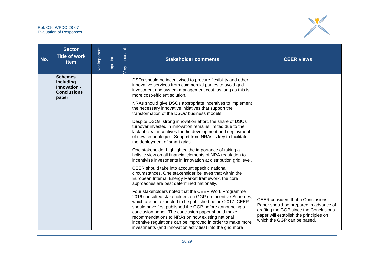

| No. | <b>Sector</b><br><b>Title of work</b><br>item                              | Not important | Important | Very important | <b>Stakeholder comments</b>                                                                                                                                                                                                                                                                                                                                                                                                                                                    | <b>CEER views</b>                                                                                                                                                                                     |
|-----|----------------------------------------------------------------------------|---------------|-----------|----------------|--------------------------------------------------------------------------------------------------------------------------------------------------------------------------------------------------------------------------------------------------------------------------------------------------------------------------------------------------------------------------------------------------------------------------------------------------------------------------------|-------------------------------------------------------------------------------------------------------------------------------------------------------------------------------------------------------|
|     | <b>Schemes</b><br>including<br>Innovation -<br><b>Conclusions</b><br>paper |               |           |                | DSOs should be incentivised to procure flexibility and other<br>innovative services from commercial parties to avoid grid<br>investment and system management cost, as long as this is<br>more cost-efficient solution.<br>NRAs should give DSOs appropriate incentives to implement<br>the necessary innovative initiatives that support the<br>transformation of the DSOs' business models.                                                                                  |                                                                                                                                                                                                       |
|     |                                                                            |               |           |                | Despite DSOs' strong innovation effort, the share of DSOs'<br>turnover invested in innovation remains limited due to the<br>lack of clear incentives for the development and deployment<br>of new technologies. Support from NRAs is key to facilitate<br>the deployment of smart grids.                                                                                                                                                                                       |                                                                                                                                                                                                       |
|     |                                                                            |               |           |                | One stakeholder highlighted the importance of taking a<br>holistic view on all financial elements of NRA regulation to<br>incentivise investments in innovation at distribution grid level.                                                                                                                                                                                                                                                                                    |                                                                                                                                                                                                       |
|     |                                                                            |               |           |                | CEER should take into account specific national<br>circumstances. One stakeholder believes that within the<br>European Internal Energy Market framework, the core<br>approaches are best determined nationally.                                                                                                                                                                                                                                                                |                                                                                                                                                                                                       |
|     |                                                                            |               |           |                | Four stakeholders noted that the CEER Work Programme<br>2016 consulted stakeholders on GGP on Incentive Schemes,<br>which are not expected to be published before 2017. CEER<br>should have first published the GGP before announcing a<br>conclusion paper. The conclusion paper should make<br>recommendations to NRAs on how existing national<br>incentive regulations can be improved in order to make more<br>investments (and innovation activities) into the grid more | <b>CEER</b> considers that a Conclusions<br>Paper should be prepared in advance of<br>drafting the GGP since the Conclusions<br>paper will establish the principles on<br>which the GGP can be based. |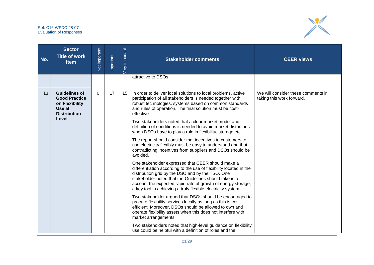

| No. | <b>Sector</b><br><b>Title of work</b><br>item                                                   | Not important | Important                                                                                                                                                                                                                                                                                                                                                             | <b>Jery</b> important | <b>Stakeholder comments</b>                                                                                                                                                                                                                                                 | <b>CEER views</b>                                               |
|-----|-------------------------------------------------------------------------------------------------|---------------|-----------------------------------------------------------------------------------------------------------------------------------------------------------------------------------------------------------------------------------------------------------------------------------------------------------------------------------------------------------------------|-----------------------|-----------------------------------------------------------------------------------------------------------------------------------------------------------------------------------------------------------------------------------------------------------------------------|-----------------------------------------------------------------|
|     |                                                                                                 |               |                                                                                                                                                                                                                                                                                                                                                                       |                       | attractive to DSOs.                                                                                                                                                                                                                                                         |                                                                 |
| 13  | <b>Guidelines of</b><br><b>Good Practice</b><br>on Flexibility<br>Use at<br><b>Distribution</b> | $\Omega$      | 17                                                                                                                                                                                                                                                                                                                                                                    | 15                    | In order to deliver local solutions to local problems, active<br>participation of all stakeholders is needed together with<br>robust technologies, systems based on common standards<br>and rules of operation. The final solution must be cost-<br>effective.              | We will consider these comments in<br>taking this work forward. |
|     | Level                                                                                           | avoided.      | Two stakeholders noted that a clear market model and<br>definition of conditions is needed to avoid market distortions<br>when DSOs have to play a role in flexibility, storage etc.                                                                                                                                                                                  |                       |                                                                                                                                                                                                                                                                             |                                                                 |
|     |                                                                                                 |               | The report should consider that incentives to customers to<br>use electricity flexibly must be easy to understand and that<br>contradicting incentives from suppliers and DSOs should be                                                                                                                                                                              |                       |                                                                                                                                                                                                                                                                             |                                                                 |
|     |                                                                                                 |               | One stakeholder expressed that CEER should make a<br>differentiation according to the use of flexibility located in the<br>distribution grid by the DSO and by the TSO. One<br>stakeholder noted that the Guidelines should take into<br>account the expected rapid rate of growth of energy storage,<br>a key tool in achieving a truly flexible electricity system. |                       |                                                                                                                                                                                                                                                                             |                                                                 |
|     |                                                                                                 |               |                                                                                                                                                                                                                                                                                                                                                                       |                       | Two stakeholder argued that DSOs should be encouraged to<br>procure flexibility services locally as long as this is cost-<br>efficient. Moreover, DSOs should be allowed to own and<br>operate flexibility assets when this does not interfere with<br>market arrangements. |                                                                 |
|     |                                                                                                 |               |                                                                                                                                                                                                                                                                                                                                                                       |                       | Two stakeholders noted that high-level guidance on flexibility<br>use could be helpful with a definition of roles and the                                                                                                                                                   |                                                                 |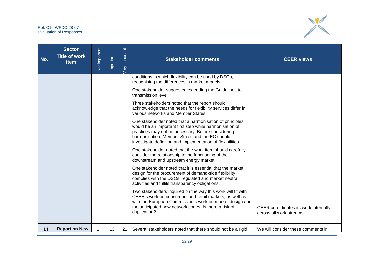

| No. | <b>Sector</b><br><b>Title of work</b><br>item | Not important | Important | <b>Jery</b> important | <b>Stakeholder comments</b>                                                                                                                                                                                                                                                                | <b>CEER views</b>                                                 |
|-----|-----------------------------------------------|---------------|-----------|-----------------------|--------------------------------------------------------------------------------------------------------------------------------------------------------------------------------------------------------------------------------------------------------------------------------------------|-------------------------------------------------------------------|
|     |                                               |               |           |                       | conditions in which flexibility can be used by DSOs,<br>recognising the differences in market models.                                                                                                                                                                                      |                                                                   |
|     |                                               |               |           |                       | One stakeholder suggested extending the Guidelines to<br>transmission level.                                                                                                                                                                                                               |                                                                   |
|     |                                               |               |           |                       | Three stakeholders noted that the report should<br>acknowledge that the needs for flexibility services differ in<br>various networks and Member States.                                                                                                                                    |                                                                   |
|     |                                               |               |           |                       | One stakeholder noted that a harmonisation of principles<br>would be an important first step while harmonisation of<br>practices may not be necessary. Before considering<br>harmonisation, Member States and the EC should<br>investigate definition and implementation of flexibilities. |                                                                   |
|     |                                               |               |           |                       | One stakeholder noted that the work item should carefully<br>consider the relationship to the functioning of the<br>downstream and upstream energy market.                                                                                                                                 |                                                                   |
|     |                                               |               |           |                       | One stakeholder noted that it is essential that the market<br>design for the procurement of demand-side flexibility<br>complies with the DSOs' regulated and market neutral<br>activities and fulfils transparency obligations.                                                            |                                                                   |
|     |                                               |               |           |                       | Two stakeholders inquired on the way this work will fit with<br>CEER's work on consumers and retail markets, as well as<br>with the European Commission's work on market design and<br>the anticipated new network codes. Is there a risk of<br>duplication?                               | CEER co-ordinates its work internally<br>across all work streams. |
| 14  | <b>Report on New</b>                          |               | 13        | 21 <sup>1</sup>       | Several stakeholders noted that there should not be a rigid                                                                                                                                                                                                                                | We will consider these comments in                                |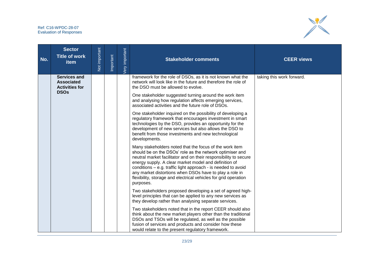

| No. | <b>Sector</b><br><b>Title of work</b><br>item              | Not important | Important | very important | <b>Stakeholder comments</b>                                                                                                                                                                                                                                                                                                                                                                                                                                  | <b>CEER views</b>         |
|-----|------------------------------------------------------------|---------------|-----------|----------------|--------------------------------------------------------------------------------------------------------------------------------------------------------------------------------------------------------------------------------------------------------------------------------------------------------------------------------------------------------------------------------------------------------------------------------------------------------------|---------------------------|
|     | Services and<br><b>Associated</b><br><b>Activities for</b> |               |           |                | framework for the role of DSOs, as it is not known what the<br>network will look like in the future and therefore the role of<br>the DSO must be allowed to evolve.                                                                                                                                                                                                                                                                                          | taking this work forward. |
|     | <b>DSOs</b>                                                |               |           |                | One stakeholder suggested turning around the work item<br>and analysing how regulation affects emerging services,<br>associated activities and the future role of DSOs.                                                                                                                                                                                                                                                                                      |                           |
|     |                                                            |               |           |                | One stakeholder inquired on the possibility of developing a<br>regulatory framework that encourages investment in smart<br>technologies by the DSO, provides an opportunity for the<br>development of new services but also allows the DSO to<br>benefit from those investments and new technological<br>developments.                                                                                                                                       |                           |
|     |                                                            |               |           |                | Many stakeholders noted that the focus of the work item<br>should be on the DSOs' role as the network optimiser and<br>neutral market facilitator and on their responsibility to secure<br>energy supply. A clear market model and definition of<br>conditions - e.g. traffic light approach - is needed to avoid<br>any market distortions when DSOs have to play a role in<br>flexibility, storage and electrical vehicles for grid operation<br>purposes. |                           |
|     |                                                            |               |           |                | Two stakeholders proposed developing a set of agreed high-<br>level principles that can be applied to any new services as<br>they develop rather than analysing separate services.                                                                                                                                                                                                                                                                           |                           |
|     |                                                            |               |           |                | Two stakeholders noted that in the report CEER should also<br>think about the new market players other than the traditional<br>DSOs and TSOs will be regulated, as well as the possible<br>fusion of services and products and consider how these<br>would relate to the present regulatory framework.                                                                                                                                                       |                           |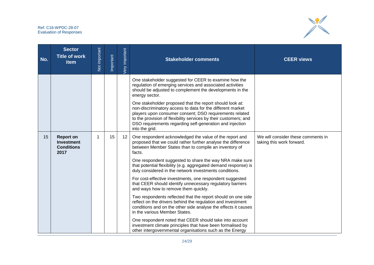

| No. | <b>Sector</b><br><b>Title of work</b><br>item                      | Not important | Important | Very important | <b>Stakeholder comments</b>                                                                                                                                                                                                                                                                                                                                                                                                                                                                                                                                                                                                                                                                                                                                                                                                                                                                                                                                                | <b>CEER views</b>                                               |
|-----|--------------------------------------------------------------------|---------------|-----------|----------------|----------------------------------------------------------------------------------------------------------------------------------------------------------------------------------------------------------------------------------------------------------------------------------------------------------------------------------------------------------------------------------------------------------------------------------------------------------------------------------------------------------------------------------------------------------------------------------------------------------------------------------------------------------------------------------------------------------------------------------------------------------------------------------------------------------------------------------------------------------------------------------------------------------------------------------------------------------------------------|-----------------------------------------------------------------|
|     |                                                                    |               |           |                | One stakeholder suggested for CEER to examine how the<br>regulation of emerging services and associated activities<br>should be adjusted to complement the developments in the<br>energy sector.<br>One stakeholder proposed that the report should look at:<br>non-discriminatory access to data for the different market<br>players upon consumer consent; DSO requirements related<br>to the provision of flexibility services by their customers; and<br>DSO requirements regarding self-generation and injection<br>into the grid.                                                                                                                                                                                                                                                                                                                                                                                                                                    |                                                                 |
| 15  | <b>Report on</b><br><b>Investment</b><br><b>Conditions</b><br>2017 |               | 15        | 12             | One respondent acknowledged the value of the report and<br>proposed that we could rather further analyse the difference<br>between Member States than to compile an inventory of<br>facts.<br>One respondent suggested to share the way NRA make sure<br>that potential flexibility (e.g. aggregated demand response) is<br>duly considered in the network investments conditions.<br>For cost-effective investments, one respondent suggested<br>that CEER should identify unnecessary regulatory barriers<br>and ways how to remove them quickly.<br>Two respondents reflected that the report should on one side<br>reflect on the drivers behind the regulation and investment<br>conditions and on the other side analyse the effects it causes<br>in the various Member States.<br>One respondent noted that CEER should take into account<br>investment climate principles that have been formalised by<br>other intergovernmental organisations such as the Energy | We will consider these comments in<br>taking this work forward. |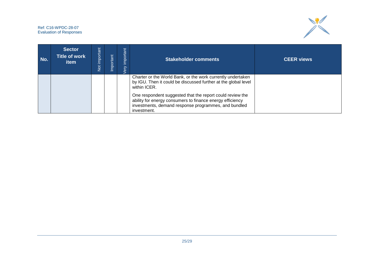

| No. | <b>Sector</b><br><b>Title of work</b><br>item | <b>important</b><br>$\frac{5}{2}$ | mportant | important<br>ery | <b>Stakeholder comments</b>                                                                                                                                                                                                                                                                                                                    | <b>CEER views</b> |
|-----|-----------------------------------------------|-----------------------------------|----------|------------------|------------------------------------------------------------------------------------------------------------------------------------------------------------------------------------------------------------------------------------------------------------------------------------------------------------------------------------------------|-------------------|
|     |                                               |                                   |          |                  | Charter or the World Bank, or the work currently undertaken<br>by IGU. Then it could be discussed further at the global level<br>within ICER.<br>One respondent suggested that the report could review the<br>ability for energy consumers to finance energy efficiency<br>investments, demand response programmes, and bundled<br>investment. |                   |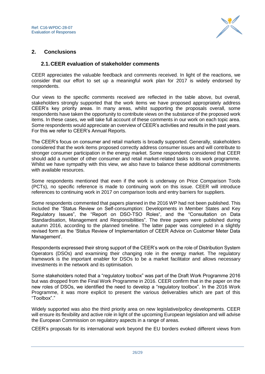

## <span id="page-25-0"></span>**2. Conclusions**

### <span id="page-25-1"></span>**2.1.CEER evaluation of stakeholder comments**

CEER appreciates the valuable feedback and comments received. In light of the reactions, we consider that our effort to set up a meaningful work plan for 2017 is widely endorsed by respondents.

Our views to the specific comments received are reflected in the table above, but overall, stakeholders strongly supported that the work items we have proposed appropriately address CEER's key priority areas. In many areas, whilst supporting the proposals overall, some respondents have taken the opportunity to contribute views on the substance of the proposed work items. In these cases, we will take full account of these comments in our work on each topic area. Some respondents would appreciate an overview of CEER's activities and results in the past years. For this we refer to CEER's Annual Reports.

The CEER's focus on consumer and retail markets is broadly supported. Generally, stakeholders considered that the work items proposed correctly address consumer issues and will contribute to stronger consumer participation in the energy market. Some respondents considered that CEER should add a number of other consumer and retail market-related tasks to its work programme. Whilst we have sympathy with this view, we also have to balance these additional commitments with available resources.

Some respondents mentioned that even if the work is underway on Price Comparison Tools (PCTs), no specific reference is made to continuing work on this issue. CEER will introduce references to continuing work in 2017 on comparison tools and entry barriers for suppliers.

Some respondents commented that papers planned in the 2016 WP had not been published. This included the "Status Review on Self-consumption: Developments in Member States and Key Regulatory Issues", the "Report on DSO-TSO Roles", and the "Consultation on Data Standardisation, Management and Responsibilities". The three papers were published during autumn 2016, according to the planned timeline. The latter paper was completed in a slightly revised form as the 'Status Review of Implementation of CEER Advice on Customer Meter Data Management'.

Respondents expressed their strong support of the CEER's work on the role of Distribution System Operators (DSOs) and examining their changing role in the energy market. The regulatory framework is the important enabler for DSOs to be a market facilitator and allows necessary investments in the network and its optimisation.

Some stakeholders noted that a "regulatory toolbox" was part of the Draft Work Programme 2016 but was dropped from the Final Work Programme in 2016. CEER confirm that in the paper on the new roles of DSOs, we identified the need to develop a "regulatory toolbox". In the 2016 Work Programme, it was more explicit to present the various deliverables which are part of this "Toolbox"."

Widely supported was also the third priority area on new legislative/policy developments. CEER will ensure its flexibility and active role in light of the upcoming European legislation and will advise the European Commission on regulatory aspects in a range of areas.

CEER's proposals for its international work beyond the EU borders evoked different views from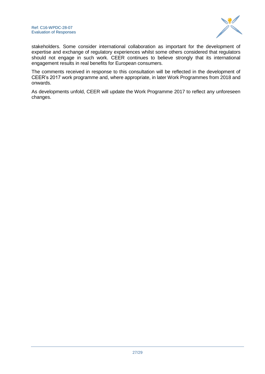

stakeholders. Some consider international collaboration as important for the development of expertise and exchange of regulatory experiences whilst some others considered that regulators should not engage in such work. CEER continues to believe strongly that its international engagement results in real benefits for European consumers.

The comments received in response to this consultation will be reflected in the development of CEER's 2017 work programme and, where appropriate, in later Work Programmes from 2018 and onwards.

As developments unfold, CEER will update the Work Programme 2017 to reflect any unforeseen changes.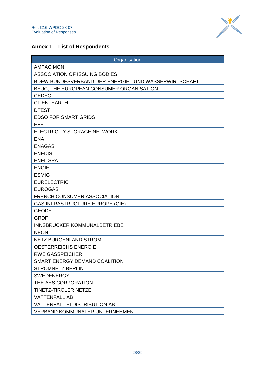

## <span id="page-27-0"></span>**Annex 1 – List of Respondents**

| Organisation                                          |
|-------------------------------------------------------|
| <b>AMPACIMON</b>                                      |
| <b>ASSOCIATION OF ISSUING BODIES</b>                  |
| BDEW BUNDESVERBAND DER ENERGIE - UND WASSERWIRTSCHAFT |
| BEUC, THE EUROPEAN CONSUMER ORGANISATION              |
| <b>CEDEC</b>                                          |
| <b>CLIENTEARTH</b>                                    |
| <b>DTEST</b>                                          |
| <b>EDSO FOR SMART GRIDS</b>                           |
| <b>EFET</b>                                           |
| ELECTRICITY STORAGE NETWORK                           |
| <b>ENA</b>                                            |
| <b>ENAGAS</b>                                         |
| <b>ENEDIS</b>                                         |
| <b>ENEL SPA</b>                                       |
| <b>ENGIE</b>                                          |
| <b>ESMIG</b>                                          |
| <b>EURELECTRIC</b>                                    |
| <b>EUROGAS</b>                                        |
| <b>FRENCH CONSUMER ASSOCIATION</b>                    |
| <b>GAS INFRASTRUCTURE EUROPE (GIE)</b>                |
| <b>GEODE</b>                                          |
| <b>GRDF</b>                                           |
| INNSBRUCKER KOMMUNALBETRIEBE                          |
| <b>NEON</b>                                           |
| <b>NETZ BURGENLAND STROM</b>                          |
| <b>OESTERREICHS ENERGIE</b>                           |
| <b>RWE GASSPEICHER</b>                                |
| SMART ENERGY DEMAND COALITION                         |
| <b>STROMNETZ BERLIN</b>                               |
| <b>SWEDENERGY</b>                                     |
| THE AES CORPORATION                                   |
| <b>TINETZ-TIROLER NETZE</b>                           |
| <b>VATTENFALL AB</b>                                  |
| VATTENFALL ELDISTRIBUTION AB                          |
| <b>VERBAND KOMMUNALER UNTERNEHMEN</b>                 |